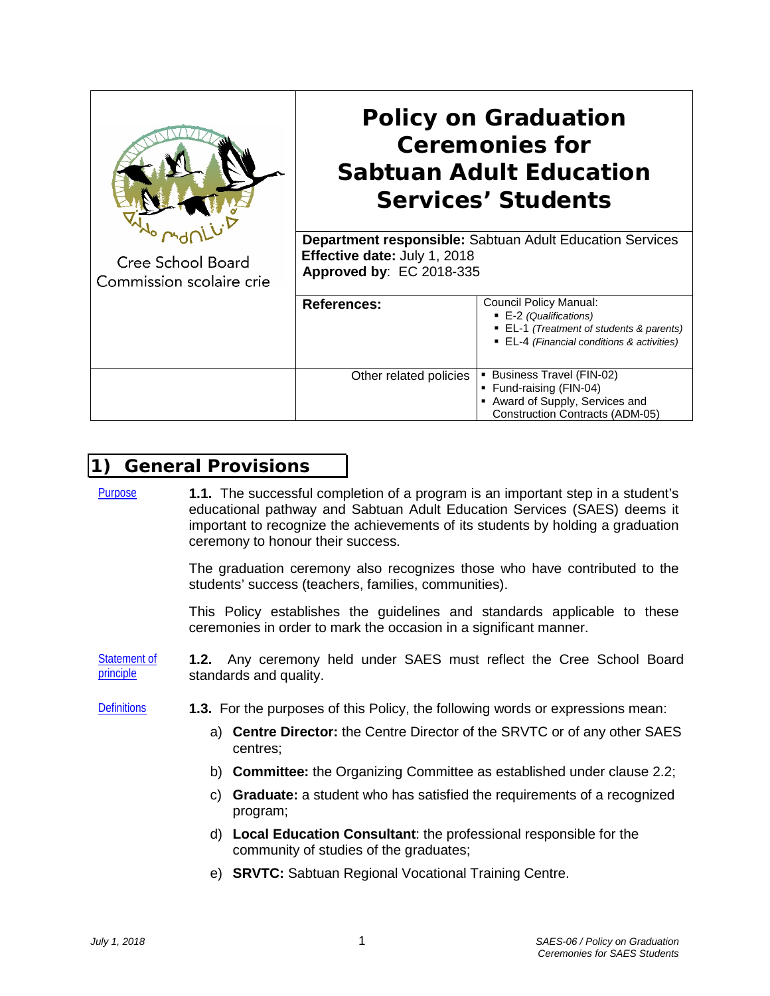|                                               | <b>Policy on Graduation</b><br><b>Ceremonies for</b><br><b>Sabtuan Adult Education</b><br><b>Services' Students</b><br><b>Department responsible:</b> Sabtuan Adult Education Services<br>Effective date: July 1, 2018<br>Approved by: EC 2018-335 |                                                                                                                                                   |
|-----------------------------------------------|----------------------------------------------------------------------------------------------------------------------------------------------------------------------------------------------------------------------------------------------------|---------------------------------------------------------------------------------------------------------------------------------------------------|
| Cree School Board<br>Commission scolaire crie |                                                                                                                                                                                                                                                    |                                                                                                                                                   |
|                                               | <b>References:</b>                                                                                                                                                                                                                                 | <b>Council Policy Manual:</b><br>■ E-2 (Qualifications)<br>■ EL-1 (Treatment of students & parents)<br>• EL-4 (Financial conditions & activities) |
|                                               | Other related policies                                                                                                                                                                                                                             | • Business Travel (FIN-02)<br>■ Fund-raising (FIN-04)<br>Award of Supply, Services and<br><b>Construction Contracts (ADM-05)</b>                  |

### **1) General Provisions**

Purpose **1.1.** The successful completion of a program is an important step in a student's educational pathway and Sabtuan Adult Education Services (SAES) deems it important to recognize the achievements of its students by holding a graduation ceremony to honour their success.

> The graduation ceremony also recognizes those who have contributed to the students' success (teachers, families, communities).

> This Policy establishes the guidelines and standards applicable to these ceremonies in order to mark the occasion in a significant manner.

Statement of principle **1.2.** Any ceremony held under SAES must reflect the Cree School Board standards and quality.

Definitions **1.3.** For the purposes of this Policy, the following words or expressions mean:

- a) **Centre Director:** the Centre Director of the SRVTC or of any other SAES centres;
- b) **Committee:** the Organizing Committee as established under clause 2.2;
- c) **Graduate:** a student who has satisfied the requirements of a recognized program;
- d) **Local Education Consultant**: the professional responsible for the community of studies of the graduates;
- e) **SRVTC:** Sabtuan Regional Vocational Training Centre.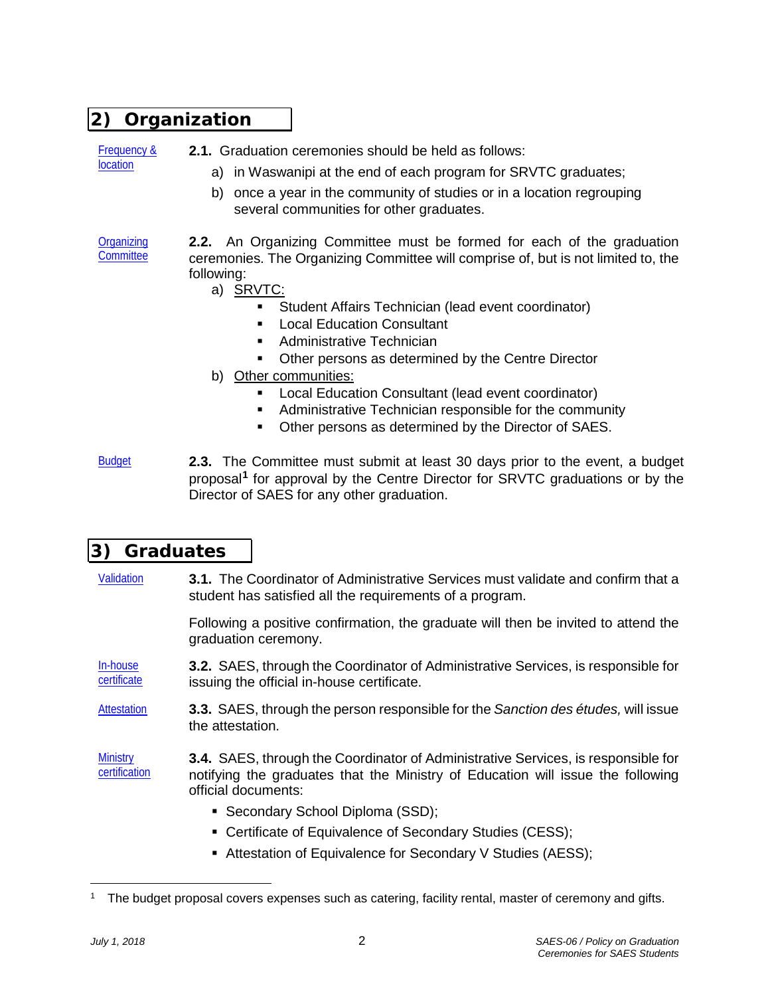# **2) Organization**

Frequency & location

- **2.1.** Graduation ceremonies should be held as follows:
	- a) in Waswanipi at the end of each program for SRVTC graduates;
	- b) once a year in the community of studies or in a location regrouping several communities for other graduates.

**Organizing Committee 2.2.** An Organizing Committee must be formed for each of the graduation ceremonies. The Organizing Committee will comprise of, but is not limited to, the following:

- a) SRVTC:
	- Student Affairs Technician (lead event coordinator)
	- **Local Education Consultant**
	- **Administrative Technician**
	- **Other persons as determined by the Centre Director**
- b) Other communities:
	- **Local Education Consultant (lead event coordinator)**
	- **Administrative Technician responsible for the community**
	- **Other persons as determined by the Director of SAES.**
- Budget **2.3.** The Committee must submit at least 30 days prior to the event, a budget proposal**[1](#page-1-0)** for approval by the Centre Director for SRVTC graduations or by the Director of SAES for any other graduation.

# **3) Graduates**

Validation **3.1.** The Coordinator of Administrative Services must validate and confirm that a student has satisfied all the requirements of a program.

> Following a positive confirmation, the graduate will then be invited to attend the graduation ceremony.

In-house certificate **3.2.** SAES, through the Coordinator of Administrative Services, is responsible for issuing the official in-house certificate.

Attestation **3.3.** SAES, through the person responsible for the *Sanction des études,* will issue the attestation.

**Ministry** certification **3.4.** SAES, through the Coordinator of Administrative Services, is responsible for notifying the graduates that the Ministry of Education will issue the following official documents:

- Secondary School Diploma (SSD);
- Certificate of Equivalence of Secondary Studies (CESS);
- Attestation of Equivalence for Secondary V Studies (AESS);

 $\overline{a}$ 

<span id="page-1-0"></span>The budget proposal covers expenses such as catering, facility rental, master of ceremony and gifts.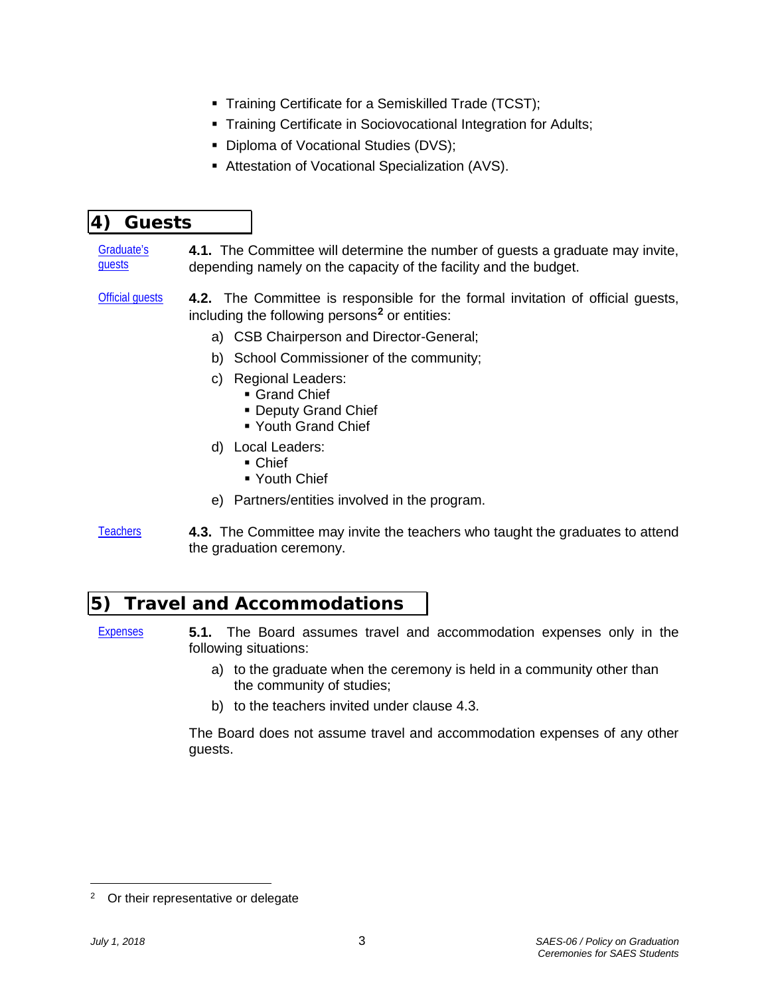- **Training Certificate for a Semiskilled Trade (TCST);**
- **Training Certificate in Sociovocational Integration for Adults;**
- Diploma of Vocational Studies (DVS);
- Attestation of Vocational Specialization (AVS).

## **4) Guests**

#### Graduate's guests **4.1.** The Committee will determine the number of guests a graduate may invite, depending namely on the capacity of the facility and the budget.

- Official guests **4.2.** The Committee is responsible for the formal invitation of official guests, including the following persons**[2](#page-2-0)** or entities:
	- a) CSB Chairperson and Director-General;
	- b) School Commissioner of the community;
	- c) Regional Leaders:
		- **Grand Chief**
		- **Deputy Grand Chief**
		- Youth Grand Chief
	- d) Local Leaders:
		- Chief
		- **Youth Chief**
	- e) Partners/entities involved in the program.
- Teachers **4.3.** The Committee may invite the teachers who taught the graduates to attend the graduation ceremony.

### **5) Travel and Accommodations**

Expenses **5.1.** The Board assumes travel and accommodation expenses only in the following situations:

- a) to the graduate when the ceremony is held in a community other than the community of studies;
- b) to the teachers invited under clause 4.3.

The Board does not assume travel and accommodation expenses of any other guests.

 $\overline{a}$ 

<span id="page-2-0"></span><sup>&</sup>lt;sup>2</sup> Or their representative or delegate